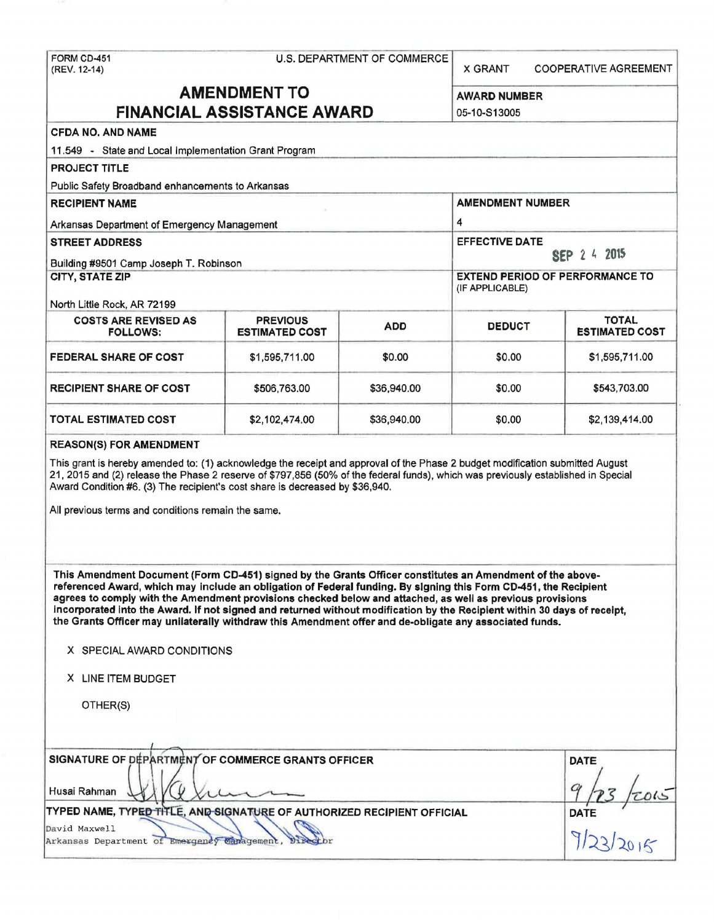| FORM CD-451<br>(REV. 12-14)                                                                                                                                                                                                                                                                                                                                                                                                                                                                                                                                                       | U.S. DEPARTMENT OF COMMERCE              |                                                           |                                       | <b>COOPERATIVE AGREEMENT</b>          |  |  |
|-----------------------------------------------------------------------------------------------------------------------------------------------------------------------------------------------------------------------------------------------------------------------------------------------------------------------------------------------------------------------------------------------------------------------------------------------------------------------------------------------------------------------------------------------------------------------------------|------------------------------------------|-----------------------------------------------------------|---------------------------------------|---------------------------------------|--|--|
| <b>AMENDMENT TO</b><br><b>FINANCIAL ASSISTANCE AWARD</b>                                                                                                                                                                                                                                                                                                                                                                                                                                                                                                                          |                                          |                                                           | <b>AWARD NUMBER</b><br>05-10-S13005   |                                       |  |  |
| <b>CFDA NO. AND NAME</b>                                                                                                                                                                                                                                                                                                                                                                                                                                                                                                                                                          |                                          |                                                           |                                       |                                       |  |  |
| 11.549 - State and Local Implementation Grant Program                                                                                                                                                                                                                                                                                                                                                                                                                                                                                                                             |                                          |                                                           |                                       |                                       |  |  |
| <b>PROJECT TITLE</b>                                                                                                                                                                                                                                                                                                                                                                                                                                                                                                                                                              |                                          |                                                           |                                       |                                       |  |  |
| Public Safety Broadband enhancements to Arkansas                                                                                                                                                                                                                                                                                                                                                                                                                                                                                                                                  |                                          |                                                           |                                       |                                       |  |  |
| <b>RECIPIENT NAME</b>                                                                                                                                                                                                                                                                                                                                                                                                                                                                                                                                                             |                                          | <b>AMENDMENT NUMBER</b>                                   |                                       |                                       |  |  |
| Arkansas Department of Emergency Management                                                                                                                                                                                                                                                                                                                                                                                                                                                                                                                                       |                                          |                                                           | 4                                     |                                       |  |  |
| <b>STREET ADDRESS</b>                                                                                                                                                                                                                                                                                                                                                                                                                                                                                                                                                             |                                          |                                                           | <b>EFFECTIVE DATE</b><br>SEP 2 4 2015 |                                       |  |  |
| Building #9501 Camp Joseph T. Robinson                                                                                                                                                                                                                                                                                                                                                                                                                                                                                                                                            |                                          |                                                           |                                       |                                       |  |  |
| <b>CITY, STATE ZIP</b><br>North Little Rock, AR 72199                                                                                                                                                                                                                                                                                                                                                                                                                                                                                                                             |                                          | <b>EXTEND PERIOD OF PERFORMANCE TO</b><br>(IF APPLICABLE) |                                       |                                       |  |  |
| <b>COSTS ARE REVISED AS</b><br><b>FOLLOWS:</b>                                                                                                                                                                                                                                                                                                                                                                                                                                                                                                                                    | <b>PREVIOUS</b><br><b>ESTIMATED COST</b> | <b>ADD</b>                                                | <b>DEDUCT</b>                         | <b>TOTAL</b><br><b>ESTIMATED COST</b> |  |  |
|                                                                                                                                                                                                                                                                                                                                                                                                                                                                                                                                                                                   |                                          |                                                           |                                       |                                       |  |  |
| <b>FEDERAL SHARE OF COST</b>                                                                                                                                                                                                                                                                                                                                                                                                                                                                                                                                                      | \$1,595,711.00                           | \$0.00                                                    | \$0.00                                | \$1,595,711.00                        |  |  |
| <b>RECIPIENT SHARE OF COST</b>                                                                                                                                                                                                                                                                                                                                                                                                                                                                                                                                                    | \$506,763.00                             | \$36,940.00                                               | \$0.00                                | \$543,703.00                          |  |  |
| TOTAL ESTIMATED COST                                                                                                                                                                                                                                                                                                                                                                                                                                                                                                                                                              | \$2,102,474.00                           | \$36,940.00                                               | \$0.00                                | \$2,139,414.00                        |  |  |
| 21, 2015 and (2) release the Phase 2 reserve of \$797,856 (50% of the federal funds), which was previously established in Special<br>Award Condition #6. (3) The recipient's cost share is decreased by \$36,940.<br>All previous terms and conditions remain the same.                                                                                                                                                                                                                                                                                                           |                                          |                                                           |                                       |                                       |  |  |
| This Amendment Document (Form CD-451) signed by the Grants Officer constitutes an Amendment of the above-<br>referenced Award, which may include an obligation of Federal funding. By signing this Form CD-451, the Recipient<br>agrees to comply with the Amendment provisions checked below and attached, as well as previous provisions<br>incorporated into the Award. If not signed and returned without modification by the Recipient within 30 days of receipt,<br>the Grants Officer may unilaterally withdraw this Amendment offer and de-obligate any associated funds. |                                          |                                                           |                                       |                                       |  |  |
| X SPECIAL AWARD CONDITIONS                                                                                                                                                                                                                                                                                                                                                                                                                                                                                                                                                        |                                          |                                                           |                                       |                                       |  |  |
| X LINE ITEM BUDGET                                                                                                                                                                                                                                                                                                                                                                                                                                                                                                                                                                |                                          |                                                           |                                       |                                       |  |  |
| OTHER(S)                                                                                                                                                                                                                                                                                                                                                                                                                                                                                                                                                                          |                                          |                                                           |                                       |                                       |  |  |
|                                                                                                                                                                                                                                                                                                                                                                                                                                                                                                                                                                                   |                                          |                                                           |                                       |                                       |  |  |
| SIGNATURE OF DEPARTMENT OF COMMERCE GRANTS OFFICER                                                                                                                                                                                                                                                                                                                                                                                                                                                                                                                                | <b>DATE</b>                              |                                                           |                                       |                                       |  |  |
| Husai Rahman                                                                                                                                                                                                                                                                                                                                                                                                                                                                                                                                                                      |                                          |                                                           |                                       |                                       |  |  |
| TYPED NAME, TYPED TITLE, AND SIGNATURE OF AUTHORIZED RECIPIENT OFFICIAL                                                                                                                                                                                                                                                                                                                                                                                                                                                                                                           |                                          |                                                           |                                       |                                       |  |  |
| David Maxwell<br>Arkansas Department of Emergency Canagement,                                                                                                                                                                                                                                                                                                                                                                                                                                                                                                                     | DATE 72015                               |                                                           |                                       |                                       |  |  |